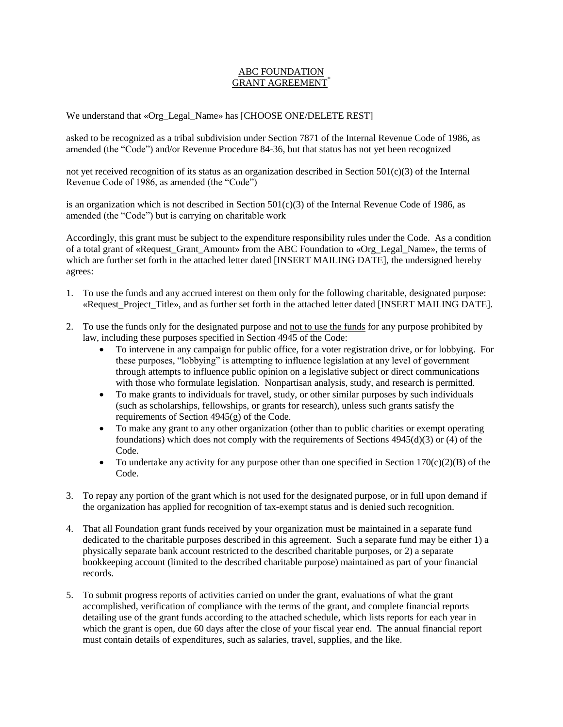## ABC FOUNDATION GRANT AGREEMENT<sup>\*</sup>

We understand that «Org\_Legal\_Name» has [CHOOSE ONE/DELETE REST]

asked to be recognized as a tribal subdivision under Section 7871 of the Internal Revenue Code of 1986, as amended (the "Code") and/or Revenue Procedure 84-36, but that status has not yet been recognized

not yet received recognition of its status as an organization described in Section  $501(c)(3)$  of the Internal Revenue Code of 1986, as amended (the "Code")

is an organization which is not described in Section  $501(c)(3)$  of the Internal Revenue Code of 1986, as amended (the "Code") but is carrying on charitable work

Accordingly, this grant must be subject to the expenditure responsibility rules under the Code. As a condition of a total grant of «Request\_Grant\_Amount» from the ABC Foundation to «Org\_Legal\_Name», the terms of which are further set forth in the attached letter dated [INSERT MAILING DATE], the undersigned hereby agrees:

- 1. To use the funds and any accrued interest on them only for the following charitable, designated purpose: «Request Project Title», and as further set forth in the attached letter dated [INSERT MAILING DATE].
- 2. To use the funds only for the designated purpose and not to use the funds for any purpose prohibited by law, including these purposes specified in Section 4945 of the Code:
	- To intervene in any campaign for public office, for a voter registration drive, or for lobbying. For these purposes, "lobbying" is attempting to influence legislation at any level of government through attempts to influence public opinion on a legislative subject or direct communications with those who formulate legislation. Nonpartisan analysis, study, and research is permitted.
	- To make grants to individuals for travel, study, or other similar purposes by such individuals (such as scholarships, fellowships, or grants for research), unless such grants satisfy the requirements of Section 4945(g) of the Code.
	- To make any grant to any other organization (other than to public charities or exempt operating foundations) which does not comply with the requirements of Sections 4945(d)(3) or (4) of the Code.
	- To undertake any activity for any purpose other than one specified in Section  $170(c)(2)(B)$  of the Code.
- 3. To repay any portion of the grant which is not used for the designated purpose, or in full upon demand if the organization has applied for recognition of tax-exempt status and is denied such recognition.
- 4. That all Foundation grant funds received by your organization must be maintained in a separate fund dedicated to the charitable purposes described in this agreement. Such a separate fund may be either 1) a physically separate bank account restricted to the described charitable purposes, or 2) a separate bookkeeping account (limited to the described charitable purpose) maintained as part of your financial records.
- 5. To submit progress reports of activities carried on under the grant, evaluations of what the grant accomplished, verification of compliance with the terms of the grant, and complete financial reports detailing use of the grant funds according to the attached schedule, which lists reports for each year in which the grant is open, due 60 days after the close of your fiscal year end. The annual financial report must contain details of expenditures, such as salaries, travel, supplies, and the like.